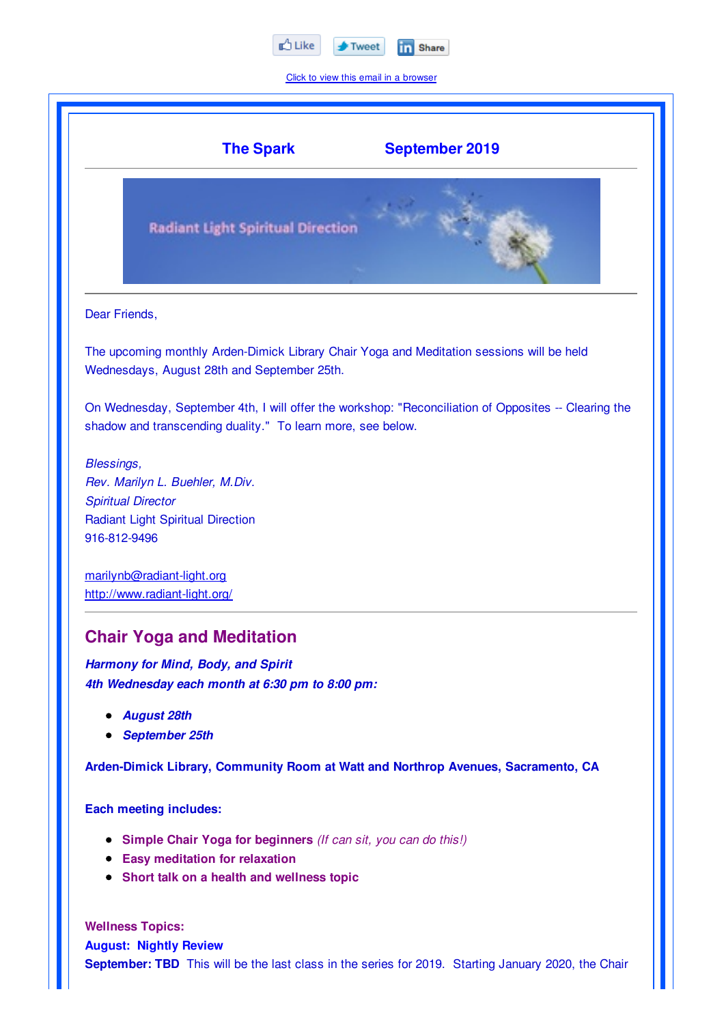

Click to view this email in a browser

| <b>The Spark</b>                                                                                                                                                                               | <b>September 2019</b>                                                                                |
|------------------------------------------------------------------------------------------------------------------------------------------------------------------------------------------------|------------------------------------------------------------------------------------------------------|
| <b>Radiant Light Spiritual Direction</b>                                                                                                                                                       |                                                                                                      |
| Dear Friends,                                                                                                                                                                                  |                                                                                                      |
| The upcoming monthly Arden-Dimick Library Chair Yoga and Meditation sessions will be held<br>Wednesdays, August 28th and September 25th.                                                       |                                                                                                      |
| shadow and transcending duality." To learn more, see below.                                                                                                                                    | On Wednesday, September 4th, I will offer the workshop: "Reconciliation of Opposites -- Clearing the |
| Blessings,<br>Rev. Marilyn L. Buehler, M.Div.<br><b>Spiritual Director</b><br><b>Radiant Light Spiritual Direction</b><br>916-812-9496                                                         |                                                                                                      |
| marilynb@radiant-light.org<br>http://www.radiant-light.org/                                                                                                                                    |                                                                                                      |
| <b>Chair Yoga and Meditation</b><br>Harmony for Mind, Body, and Spirit<br>4th Wednesday each month at 6:30 pm to 8:00 pm:<br><b>August 28th</b><br>• September 25th                            |                                                                                                      |
| Arden-Dimick Library, Community Room at Watt and Northrop Avenues, Sacramento, CA                                                                                                              |                                                                                                      |
| <b>Each meeting includes:</b><br>• Simple Chair Yoga for beginners (If can sit, you can do this!)<br><b>Easy meditation for relaxation</b><br>٠<br>• Short talk on a health and wellness topic |                                                                                                      |
| <b>Wellness Topics:</b>                                                                                                                                                                        |                                                                                                      |

**August: Nightly Review September: TBD** This will be the last class in the series for 2019. Starting January 2020, the Chair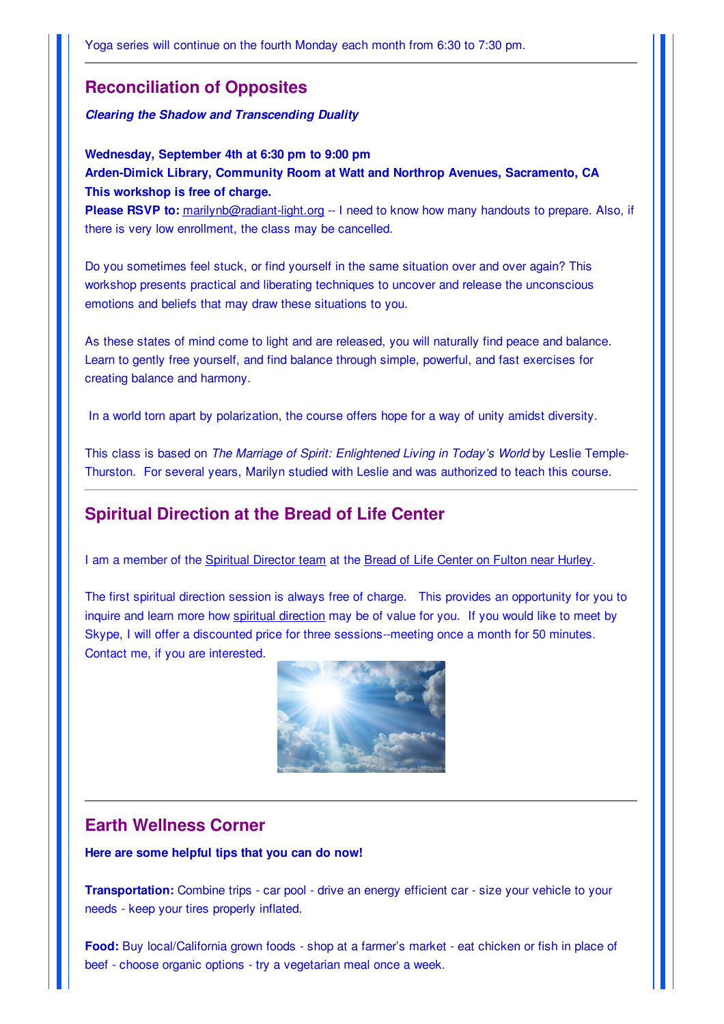Yoga series will continue on the fourth Monday each month from 6:30 to 7:30 pm.

# **Reconciliation of Opposites**

#### *Clearing the Shadow and Transcending Duality*

**Wednesday, September 4th at 6:30 pm to 9:00 pm Arden-Dimick Library, Community Room at Watt and Northrop Avenues, Sacramento, CA This workshop is free of charge.**

**Please RSVP to:** marilynb@radiant-light.org -- I need to know how many handouts to prepare. Also, if there is very low enrollment, the class may be cancelled.

Do you sometimes feel stuck, or find yourself in the same situation over and over again? This workshop presents practical and liberating techniques to uncover and release the unconscious emotions and beliefs that may draw these situations to you.

As these states of mind come to light and are released, you will naturally find peace and balance. Learn to gently free yourself, and find balance through simple, powerful, and fast exercises for creating balance and harmony.

In a world torn apart by polarization, the course offers hope for a way of unity amidst diversity.

This class is based on *The Marriage of Spirit: Enlightened Living in Today's World* by Leslie Temple-Thurston. For several years, Marilyn studied with Leslie and was authorized to teach this course.

# **Spiritual Direction at the Bread of Life Center**

I am a member of the Spiritual Director team at the Bread of Life Center on Fulton near Hurley.

The first spiritual direction session is always free of charge. This provides an opportunity for you to inquire and learn more how spiritual direction may be of value for you. If you would like to meet by Skype, I will offer a discounted price for three sessions--meeting once a month for 50 minutes. Contact me, if you are interested.



### **Earth Wellness Corner**

**Here are some helpful tips that you can do now!**

**Transportation:** Combine trips - car pool - drive an energy efficient car - size your vehicle to your needs - keep your tires properly inflated.

**Food:** Buy local/California grown foods - shop at a farmer's market - eat chicken or fish in place of beef - choose organic options - try a vegetarian meal once a week.